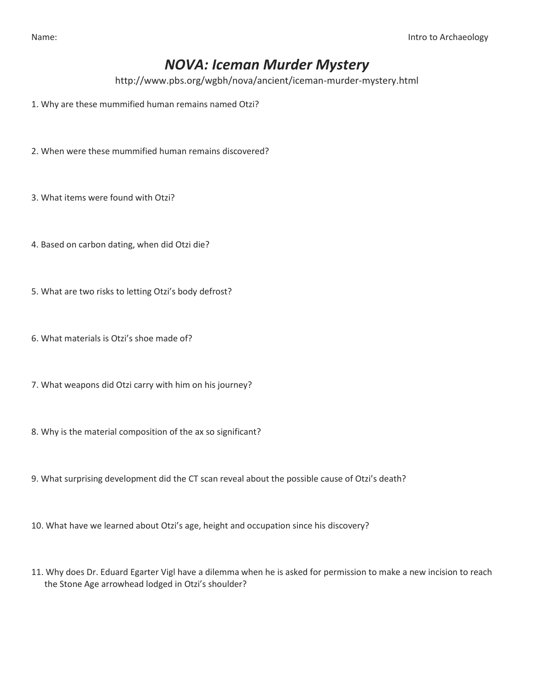## *NOVA: Iceman Murder Mystery*

http://www.pbs.org/wgbh/nova/ancient/iceman-murder-mystery.html

- 1. Why are these mummified human remains named Otzi?
- 2. When were these mummified human remains discovered?
- 3. What items were found with Otzi?
- 4. Based on carbon dating, when did Otzi die?
- 5. What are two risks to letting Otzi's body defrost?
- 6. What materials is Otzi's shoe made of?
- 7. What weapons did Otzi carry with him on his journey?
- 8. Why is the material composition of the ax so significant?
- 9. What surprising development did the CT scan reveal about the possible cause of Otzi's death?
- 10. What have we learned about Otzi's age, height and occupation since his discovery?
- 11. Why does Dr. Eduard Egarter Vigl have a dilemma when he is asked for permission to make a new incision to reach the Stone Age arrowhead lodged in Otzi's shoulder?